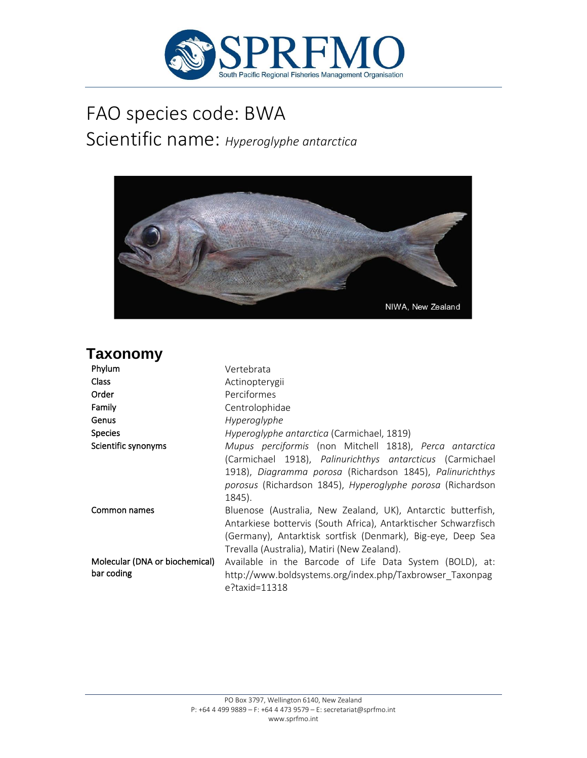

# FAO species code: BWA Scientific name: *Hyperoglyphe antarctica*



## **Taxonomy**

| Phylum                                       | Vertebrata                                                                                                                                                                                                                                                |
|----------------------------------------------|-----------------------------------------------------------------------------------------------------------------------------------------------------------------------------------------------------------------------------------------------------------|
| <b>Class</b>                                 | Actinopterygii                                                                                                                                                                                                                                            |
| Order                                        | Perciformes                                                                                                                                                                                                                                               |
| Family                                       | Centrolophidae                                                                                                                                                                                                                                            |
| Genus                                        | Hyperoglyphe                                                                                                                                                                                                                                              |
| <b>Species</b>                               | Hyperoglyphe antarctica (Carmichael, 1819)                                                                                                                                                                                                                |
| Scientific synonyms                          | Mupus perciformis (non Mitchell 1818), Perca antarctica<br>(Carmichael 1918), Palinurichthys antarcticus (Carmichael<br>1918), Diagramma porosa (Richardson 1845), Palinurichthys<br>porosus (Richardson 1845), Hyperoglyphe porosa (Richardson<br>1845). |
| Common names                                 | Bluenose (Australia, New Zealand, UK), Antarctic butterfish,<br>Antarkiese bottervis (South Africa), Antarktischer Schwarzfisch<br>(Germany), Antarktisk sortfisk (Denmark), Big-eye, Deep Sea<br>Trevalla (Australia), Matiri (New Zealand).             |
| Molecular (DNA or biochemical)<br>bar coding | Available in the Barcode of Life Data System (BOLD), at:<br>http://www.boldsystems.org/index.php/Taxbrowser Taxonpag<br>e?taxid=11318                                                                                                                     |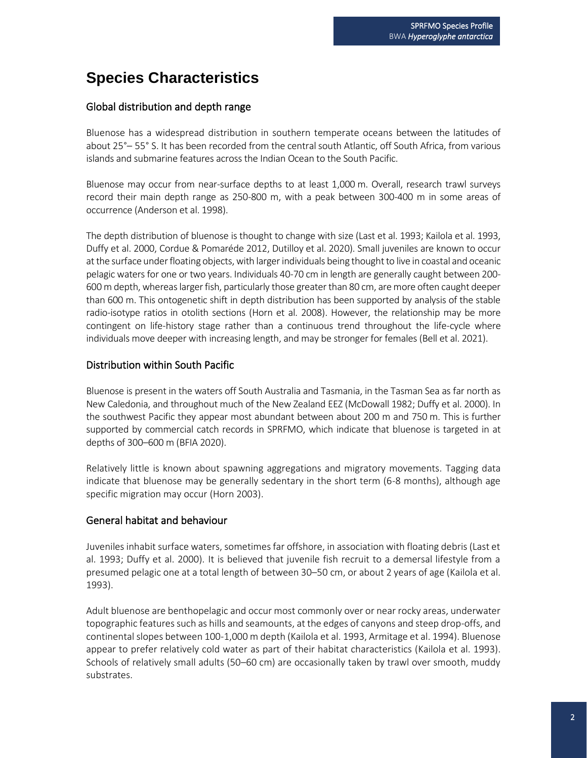## **Species Characteristics**

#### Global distribution and depth range

Bluenose has a widespread distribution in southern temperate oceans between the latitudes of about 25°– 55° S. It has been recorded from the central south Atlantic, off South Africa, from various islands and submarine features across the Indian Ocean to the South Pacific.

Bluenose may occur from near-surface depths to at least 1,000 m. Overall, research trawl surveys record their main depth range as 250-800 m, with a peak between 300-400 m in some areas of occurrence (Anderson et al. 1998).

The depth distribution of bluenose is thought to change with size (Last et al. 1993; Kailola et al. 1993, Duffy et al. 2000, Cordue & Pomaréde 2012, Dutilloy et al. 2020). Small juveniles are known to occur at the surface under floating objects, with larger individuals being thought to live in coastal and oceanic pelagic waters for one or two years. Individuals 40-70 cm in length are generally caught between 200- 600 m depth, whereas larger fish, particularly those greater than 80 cm, are more often caught deeper than 600 m. This ontogenetic shift in depth distribution has been supported by analysis of the stable radio-isotype ratios in otolith sections (Horn et al. 2008). However, the relationship may be more contingent on life-history stage rather than a continuous trend throughout the life-cycle where individuals move deeper with increasing length, and may be stronger for females (Bell et al. 2021).

#### Distribution within South Pacific

Bluenose is present in the waters off South Australia and Tasmania, in the Tasman Sea as far north as New Caledonia, and throughout much of the New Zealand EEZ (McDowall 1982; Duffy et al. 2000). In the southwest Pacific they appear most abundant between about 200 m and 750 m. This is further supported by commercial catch records in SPRFMO, which indicate that bluenose is targeted in at depths of 300–600 m (BFIA 2020).

Relatively little is known about spawning aggregations and migratory movements. Tagging data indicate that bluenose may be generally sedentary in the short term (6-8 months), although age specific migration may occur (Horn 2003).

#### General habitat and behaviour

Juveniles inhabit surface waters, sometimes far offshore, in association with floating debris (Last et al. 1993; Duffy et al. 2000). It is believed that juvenile fish recruit to a demersal lifestyle from a presumed pelagic one at a total length of between 30–50 cm, or about 2 years of age (Kailola et al. 1993).

Adult bluenose are benthopelagic and occur most commonly over or near rocky areas, underwater topographic features such as hills and seamounts, at the edges of canyons and steep drop-offs, and continental slopes between 100-1,000 m depth (Kailola et al. 1993, Armitage et al. 1994). Bluenose appear to prefer relatively cold water as part of their habitat characteristics (Kailola et al. 1993). Schools of relatively small adults (50–60 cm) are occasionally taken by trawl over smooth, muddy substrates.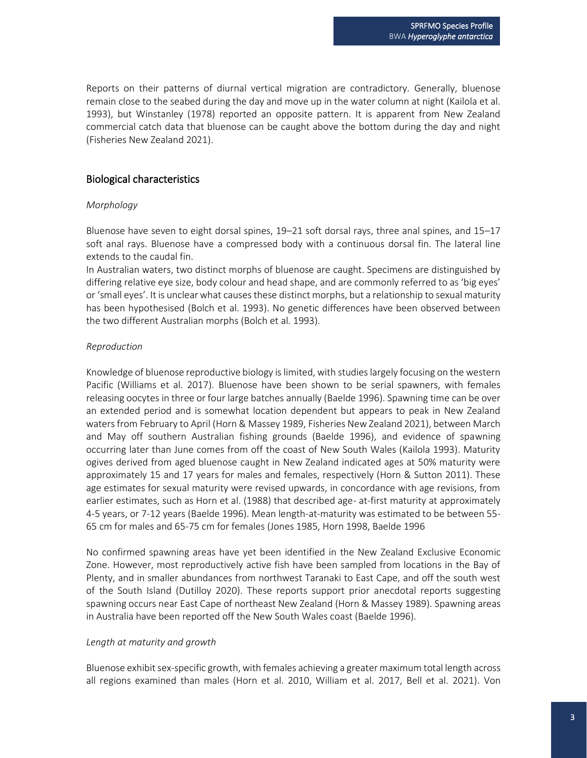Reports on their patterns of diurnal vertical migration are contradictory. Generally, bluenose remain close to the seabed during the day and move up in the water column at night (Kailola et al. 1993), but Winstanley (1978) reported an opposite pattern. It is apparent from New Zealand commercial catch data that bluenose can be caught above the bottom during the day and night (Fisheries New Zealand 2021).

#### Biological characteristics

#### *Morphology*

Bluenose have seven to eight dorsal spines, 19–21 soft dorsal rays, three anal spines, and 15–17 soft anal rays. Bluenose have a compressed body with a continuous dorsal fin. The lateral line extends to the caudal fin.

In Australian waters, two distinct morphs of bluenose are caught. Specimens are distinguished by differing relative eye size, body colour and head shape, and are commonly referred to as 'big eyes' or 'small eyes'. It is unclear what causes these distinct morphs, but a relationship to sexual maturity has been hypothesised (Bolch et al. 1993). No genetic differences have been observed between the two different Australian morphs (Bolch et al. 1993).

#### *Reproduction*

Knowledge of bluenose reproductive biology is limited, with studies largely focusing on the western Pacific (Williams et al. 2017). Bluenose have been shown to be serial spawners, with females releasing oocytes in three or four large batches annually (Baelde 1996). Spawning time can be over an extended period and is somewhat location dependent but appears to peak in New Zealand waters from February to April (Horn & Massey 1989, Fisheries New Zealand 2021), between March and May off southern Australian fishing grounds (Baelde 1996), and evidence of spawning occurring later than June comes from off the coast of New South Wales (Kailola 1993). Maturity ogives derived from aged bluenose caught in New Zealand indicated ages at 50% maturity were approximately 15 and 17 years for males and females, respectively (Horn & Sutton 2011). These age estimates for sexual maturity were revised upwards, in concordance with age revisions, from earlier estimates, such as Horn et al. (1988) that described age- at-first maturity at approximately 4-5 years, or 7-12 years (Baelde 1996). Mean length-at-maturity was estimated to be between 55- 65 cm for males and 65-75 cm for females (Jones 1985, Horn 1998, Baelde 1996

No confirmed spawning areas have yet been identified in the New Zealand Exclusive Economic Zone. However, most reproductively active fish have been sampled from locations in the Bay of Plenty, and in smaller abundances from northwest Taranaki to East Cape, and off the south west of the South Island (Dutilloy 2020). These reports support prior anecdotal reports suggesting spawning occurs near East Cape of northeast New Zealand (Horn & Massey 1989). Spawning areas in Australia have been reported off the New South Wales coast (Baelde 1996).

#### *Length at maturity and growth*

Bluenose exhibit sex-specific growth, with females achieving a greater maximum total length across all regions examined than males (Horn et al. 2010, William et al. 2017, Bell et al. 2021). Von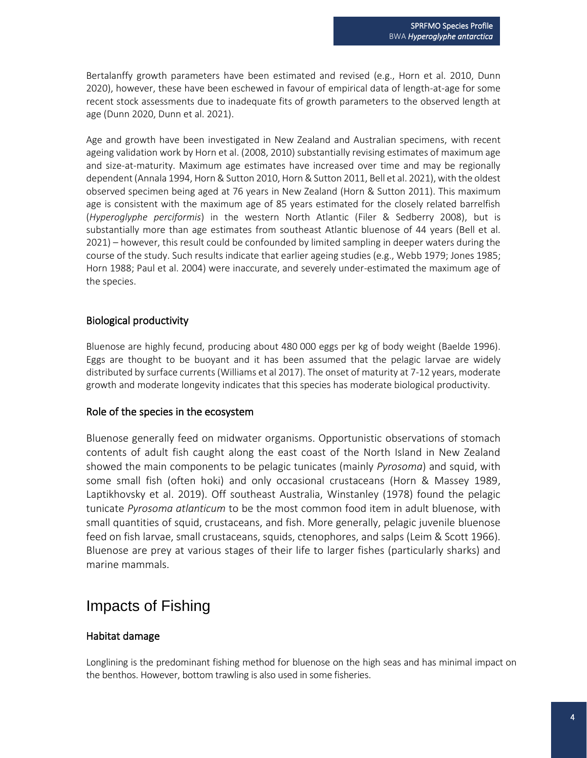Bertalanffy growth parameters have been estimated and revised (e.g., Horn et al. 2010, Dunn 2020), however, these have been eschewed in favour of empirical data of length-at-age for some recent stock assessments due to inadequate fits of growth parameters to the observed length at age (Dunn 2020, Dunn et al. 2021).

Age and growth have been investigated in New Zealand and Australian specimens, with recent ageing validation work by Horn et al. (2008, 2010) substantially revising estimates of maximum age and size-at-maturity. Maximum age estimates have increased over time and may be regionally dependent (Annala 1994, Horn & Sutton 2010, Horn & Sutton 2011, Bell et al. 2021), with the oldest observed specimen being aged at 76 years in New Zealand (Horn & Sutton 2011). This maximum age is consistent with the maximum age of 85 years estimated for the closely related barrelfish (*Hyperoglyphe perciformis*) in the western North Atlantic (Filer & Sedberry 2008), but is substantially more than age estimates from southeast Atlantic bluenose of 44 years (Bell et al. 2021) – however, this result could be confounded by limited sampling in deeper waters during the course of the study. Such results indicate that earlier ageing studies (e.g., Webb 1979; Jones 1985; Horn 1988; Paul et al. 2004) were inaccurate, and severely under-estimated the maximum age of the species.

#### Biological productivity

Bluenose are highly fecund, producing about 480 000 eggs per kg of body weight (Baelde 1996). Eggs are thought to be buoyant and it has been assumed that the pelagic larvae are widely distributed by surface currents (Williams et al 2017). The onset of maturity at 7-12 years, moderate growth and moderate longevity indicates that this species has moderate biological productivity.

#### Role of the species in the ecosystem

Bluenose generally feed on midwater organisms. Opportunistic observations of stomach contents of adult fish caught along the east coast of the North Island in New Zealand showed the main components to be pelagic tunicates (mainly *Pyrosoma*) and squid, with some small fish (often hoki) and only occasional crustaceans (Horn & Massey 1989, Laptikhovsky et al. 2019). Off southeast Australia, Winstanley (1978) found the pelagic tunicate *Pyrosoma atlanticum* to be the most common food item in adult bluenose, with small quantities of squid, crustaceans, and fish. More generally, pelagic juvenile bluenose feed on fish larvae, small crustaceans, squids, ctenophores, and salps (Leim & Scott 1966). Bluenose are prey at various stages of their life to larger fishes (particularly sharks) and marine mammals.

### Impacts of Fishing

#### Habitat damage

Longlining is the predominant fishing method for bluenose on the high seas and has minimal impact on the benthos. However, bottom trawling is also used in some fisheries.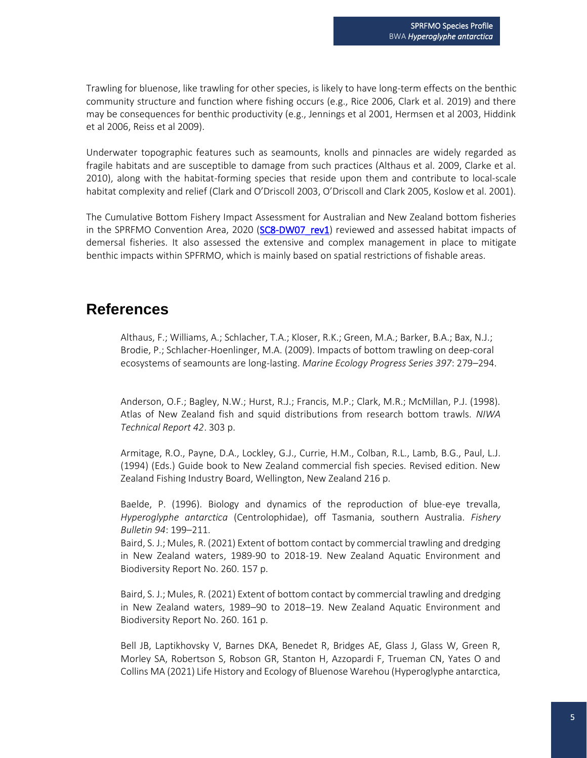Trawling for bluenose, like trawling for other species, is likely to have long-term effects on the benthic community structure and function where fishing occurs (e.g., Rice 2006, Clark et al. 2019) and there may be consequences for benthic productivity (e.g., Jennings et al 2001, Hermsen et al 2003, Hiddink et al 2006, Reiss et al 2009).

Underwater topographic features such as seamounts, knolls and pinnacles are widely regarded as fragile habitats and are susceptible to damage from such practices (Althaus et al. 2009, Clarke et al. 2010), along with the habitat-forming species that reside upon them and contribute to local-scale habitat complexity and relief (Clark and O'Driscoll 2003, O'Driscoll and Clark 2005, Koslow et al. 2001).

The Cumulative Bottom Fishery Impact Assessment for Australian and New Zealand bottom fisheries in the SPRFMO Convention Area, 2020 (SC8-DW07 rev1) reviewed and assessed habitat impacts of demersal fisheries. It also assessed the extensive and complex management in place to mitigate benthic impacts within SPFRMO, which is mainly based on spatial restrictions of fishable areas.

### **References**

Althaus, F.; Williams, A.; Schlacher, T.A.; Kloser, R.K.; Green, M.A.; Barker, B.A.; Bax, N.J.; Brodie, P.; Schlacher-Hoenlinger, M.A. (2009). Impacts of bottom trawling on deep-coral ecosystems of seamounts are long-lasting. *Marine Ecology Progress Series 397*: 279–294.

Anderson, O.F.; Bagley, N.W.; Hurst, R.J.; Francis, M.P.; Clark, M.R.; McMillan, P.J. (1998). Atlas of New Zealand fish and squid distributions from research bottom trawls. *NIWA Technical Report 42*. 303 p.

Armitage, R.O., Payne, D.A., Lockley, G.J., Currie, H.M., Colban, R.L., Lamb, B.G., Paul, L.J. (1994) (Eds.) Guide book to New Zealand commercial fish species. Revised edition. New Zealand Fishing Industry Board, Wellington, New Zealand 216 p.

Baelde, P. (1996). Biology and dynamics of the reproduction of blue-eye trevalla, *Hyperoglyphe antarctica* (Centrolophidae), off Tasmania, southern Australia. *Fishery Bulletin 94*: 199–211.

Baird, S. J.; Mules, R. (2021) Extent of bottom contact by commercial trawling and dredging in New Zealand waters, 1989-90 to 2018-19. New Zealand Aquatic Environment and Biodiversity Report No. 260. 157 p.

Baird, S. J.; Mules, R. (2021) Extent of bottom contact by commercial trawling and dredging in New Zealand waters, 1989–90 to 2018–19. New Zealand Aquatic Environment and Biodiversity Report No. 260. 161 p.

Bell JB, Laptikhovsky V, Barnes DKA, Benedet R, Bridges AE, Glass J, Glass W, Green R, Morley SA, Robertson S, Robson GR, Stanton H, Azzopardi F, Trueman CN, Yates O and Collins MA (2021) Life History and Ecology of Bluenose Warehou (Hyperoglyphe antarctica,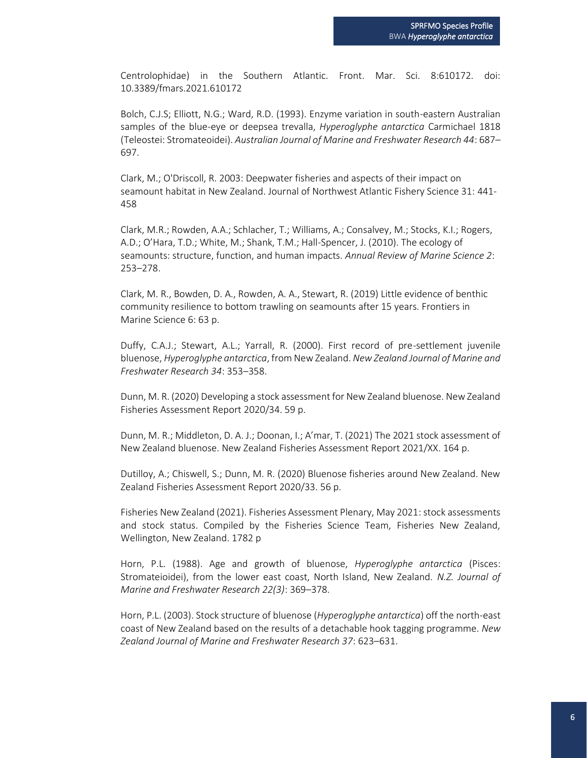Centrolophidae) in the Southern Atlantic. Front. Mar. Sci. 8:610172. doi: 10.3389/fmars.2021.610172

Bolch, C.J.S; Elliott, N.G.; Ward, R.D. (1993). Enzyme variation in south-eastern Australian samples of the blue-eye or deepsea trevalla, *Hyperoglyphe antarctica* Carmichael 1818 (Teleostei: Stromateoidei). *Australian Journal of Marine and Freshwater Research 44*: 687– 697.

Clark, M.; O'Driscoll, R. 2003: Deepwater fisheries and aspects of their impact on seamount habitat in New Zealand. Journal of Northwest Atlantic Fishery Science 31: 441- 458

Clark, M.R.; Rowden, A.A.; Schlacher, T.; Williams, A.; Consalvey, M.; Stocks, K.I.; Rogers, A.D.; O'Hara, T.D.; White, M.; Shank, T.M.; Hall-Spencer, J. (2010). The ecology of seamounts: structure, function, and human impacts. *Annual Review of Marine Science 2*: 253–278.

Clark, M. R., Bowden, D. A., Rowden, A. A., Stewart, R. (2019) Little evidence of benthic community resilience to bottom trawling on seamounts after 15 years. Frontiers in Marine Science 6: 63 p.

Duffy, C.A.J.; Stewart, A.L.; Yarrall, R. (2000). First record of pre-settlement juvenile bluenose, *Hyperoglyphe antarctica*, from New Zealand. *New Zealand Journal of Marine and Freshwater Research 34*: 353–358.

Dunn, M. R. (2020) Developing a stock assessment for New Zealand bluenose. New Zealand Fisheries Assessment Report 2020/34. 59 p.

Dunn, M. R.; Middleton, D. A. J.; Doonan, I.; A'mar, T. (2021) The 2021 stock assessment of New Zealand bluenose. New Zealand Fisheries Assessment Report 2021/XX. 164 p.

Dutilloy, A.; Chiswell, S.; Dunn, M. R. (2020) Bluenose fisheries around New Zealand. New Zealand Fisheries Assessment Report 2020/33. 56 p.

Fisheries New Zealand (2021). Fisheries Assessment Plenary, May 2021: stock assessments and stock status. Compiled by the Fisheries Science Team, Fisheries New Zealand, Wellington, New Zealand. 1782 p

Horn, P.L. (1988). Age and growth of bluenose, *Hyperoglyphe antarctica* (Pisces: Stromateioidei), from the lower east coast, North Island, New Zealand. *N.Z. Journal of Marine and Freshwater Research 22(3)*: 369–378.

Horn, P.L. (2003). Stock structure of bluenose (*Hyperoglyphe antarctica*) off the north-east coast of New Zealand based on the results of a detachable hook tagging programme. *New Zealand Journal of Marine and Freshwater Research 37*: 623–631.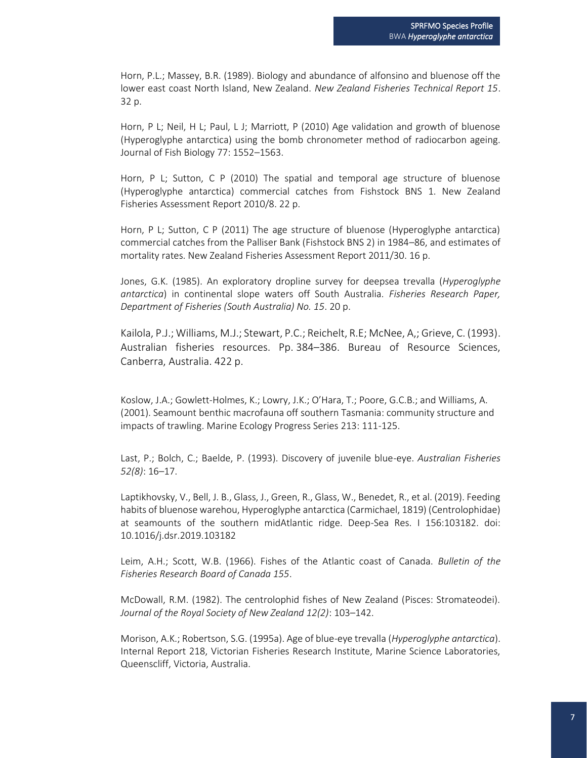Horn, P.L.; Massey, B.R. (1989). Biology and abundance of alfonsino and bluenose off the lower east coast North Island, New Zealand. *New Zealand Fisheries Technical Report 15*. 32 p.

Horn, P L; Neil, H L; Paul, L J; Marriott, P (2010) Age validation and growth of bluenose (Hyperoglyphe antarctica) using the bomb chronometer method of radiocarbon ageing. Journal of Fish Biology 77: 1552–1563.

Horn, P L; Sutton, C P (2010) The spatial and temporal age structure of bluenose (Hyperoglyphe antarctica) commercial catches from Fishstock BNS 1. New Zealand Fisheries Assessment Report 2010/8. 22 p.

Horn, P L; Sutton, C P (2011) The age structure of bluenose (Hyperoglyphe antarctica) commercial catches from the Palliser Bank (Fishstock BNS 2) in 1984–86, and estimates of mortality rates. New Zealand Fisheries Assessment Report 2011/30. 16 p.

Jones, G.K. (1985). An exploratory dropline survey for deepsea trevalla (*Hyperoglyphe antarctica*) in continental slope waters off South Australia. *Fisheries Research Paper, Department of Fisheries (South Australia) No. 15*. 20 p.

Kailola, P.J.; Williams, M.J.; Stewart, P.C.; Reichelt, R.E; McNee, A,; Grieve, C. (1993). Australian fisheries resources. Pp. 384–386. Bureau of Resource Sciences, Canberra, Australia. 422 p.

Koslow, J.A.; Gowlett-Holmes, K.; Lowry, J.K.; O'Hara, T.; Poore, G.C.B.; and Williams, A. (2001). Seamount benthic macrofauna off southern Tasmania: community structure and impacts of trawling. Marine Ecology Progress Series 213: 111-125.

Last, P.; Bolch, C.; Baelde, P. (1993). Discovery of juvenile blue-eye. *Australian Fisheries 52(8)*: 16–17.

Laptikhovsky, V., Bell, J. B., Glass, J., Green, R., Glass, W., Benedet, R., et al. (2019). Feeding habits of bluenose warehou, Hyperoglyphe antarctica (Carmichael, 1819) (Centrolophidae) at seamounts of the southern midAtlantic ridge. Deep-Sea Res. I 156:103182. doi: 10.1016/j.dsr.2019.103182

Leim, A.H.; Scott, W.B. (1966). Fishes of the Atlantic coast of Canada. *Bulletin of the Fisheries Research Board of Canada 155*.

McDowall, R.M. (1982). The centrolophid fishes of New Zealand (Pisces: Stromateodei). *Journal of the Royal Society of New Zealand 12(2)*: 103–142.

Morison, A.K.; Robertson, S.G. (1995a). Age of blue-eye trevalla (*Hyperoglyphe antarctica*). Internal Report 218, Victorian Fisheries Research Institute, Marine Science Laboratories, Queenscliff, Victoria, Australia.